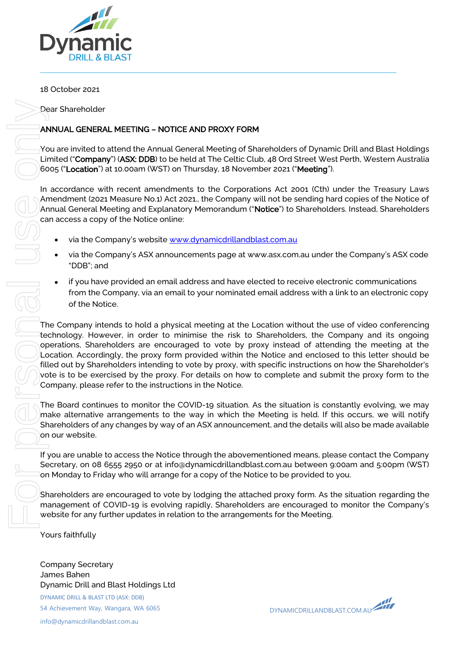

# 18 October 2021

Dear Shareholder

# ANNUAL GENERAL MEETING – NOTICE AND PROXY FORM

You are invited to attend the Annual General Meeting of Shareholders of Dynamic Drill and Blast Holdings Limited ("Company") (ASX: DDB) to be held at The Celtic Club, 48 Ord Street West Perth, Western Australia 6005 ("Location") at 10.00am (WST) on Thursday, 18 November 2021 ("Meeting").

In accordance with recent amendments to the Corporations Act 2001 (Cth) under the Treasury Laws Amendment (2021 Measure No.1) Act 2021., the Company will not be sending hard copies of the Notice of Annual General Meeting and Explanatory Memorandum ("Notice") to Shareholders. Instead, Shareholders can access a copy of the Notice online:

- via the Company's website [www.dynamicdrillandblast.com.au](http://www.dynamicdrillandblast.com.au/)
- via the Company's ASX announcements page at www.asx.com.au under the Company's ASX code "DDB"; and
- if you have provided an email address and have elected to receive electronic communications from the Company, via an email to your nominated email address with a link to an electronic copy of the Notice.

The Company intends to hold a physical meeting at the Location without the use of video conferencing technology. However, in order to minimise the risk to Shareholders, the Company and its ongoing operations, Shareholders are encouraged to vote by proxy instead of attending the meeting at the Location. Accordingly, the proxy form provided within the Notice and enclosed to this letter should be filled out by Shareholders intending to vote by proxy, with specific instructions on how the Shareholder's vote is to be exercised by the proxy. For details on how to complete and submit the proxy form to the Company, please refer to the instructions in the Notice.

The Board continues to monitor the COVID-19 situation. As the situation is constantly evolving, we may make alternative arrangements to the way in which the Meeting is held. If this occurs, we will notify Shareholders of any changes by way of an ASX announcement, and the details will also be made available on our website.

If you are unable to access the Notice through the abovementioned means, please contact the Company Secretary, on 08 6555 2950 or at info@dynamicdrillandblast.com.au between 9:00am and 5:00pm (WST) on Monday to Friday who will arrange for a copy of the Notice to be provided to you.

Shareholders are encouraged to vote by lodging the attached proxy form. As the situation regarding the management of COVID-19 is evolving rapidly, Shareholders are encouraged to monitor the Company's website for any further updates in relation to the arrangements for the Meeting.

Yours faithfully

Company Secretary James Bahen

DYNAMIC DRILL & BLAST LTD (ASX: DDB) 54 Achievement Way, Wangara, WA 6065

info@dynamicdrillandblast.com.au

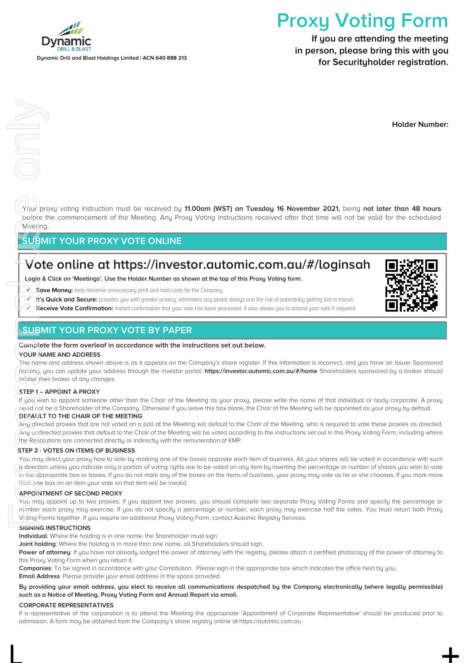

Dniy

Dynamic Drill and Blast Holdings Limited | ACN 640 888 213

# Proxy Voting Form

If you are attending the meeting in person, please bring this with you for Securityholder registration.

Holder Number:

Your proxy voting instruction must be received by 11.00am (WST) on Tuesday 16 November 2021, being not later than 48 hours before the commencement of the Meeting. Any Proxy Voting instructions received after that time will not be valid for the scheduled **Meeting** 

# SUBMIT YOUR PROXY VOTE ONLINE

# $\overline{\mathsf{V}}$ ote online at https://investor.automic.com.au/#/loginsah

Login & Click on 'Meetings'. Use the Holder Number as shown at the top of this Proxy Voting form.

 $\checkmark$  Save Moneu: help minimise unnecessary print and mail costs for the Company.

- It's Quick and Secure: provides you with greater privacy, eliminates any postal delays and the risk of potentially getting lost in transit.
- $\overline{\mathsf{K}}$  -**Receive Vote Confirmation:** instant confirmation that uour vote has been processed. It also allows uou to amend uour vote if required.

# SUBMIT YOUR PROXY VOTE BY PAPER

#### Complete the form overleaf in accordance with the instructions set out below.

#### YOUR NAME AND ADDRESS

The name and address shown above is as it appears on the Company's share register. If this information is incorrect, and you have an Issuer Sponsored holding, you can update your address through the investor portal: https://investor.automic.com.au/#/home Shareholders sponsored by a broker should advise their broker of any changes.

#### STEP 1- APPOINT A PROXY

If you wish to appoint someone other than the Chair of the Meeting as your proxy, please write the name of that Individual or body corporate. A proxy need not be a Shareholder of the Company. Otherwise if you leave this box blank, the Chair of the Meeting will be appointed as your proxy by default.

#### DEFAULT TO THE CHAIR OF THE MEETING

Any directed proxies that are not voted on a poll at the Meeting will default to the Chair of the Meeting, who is required to vote these proxies as directed. Any undirected proxies that default to the Chair of the Meeting will be voted according to the instructions set out in this Proxy Voting Form, including where the Resolutions are connected directly or indirectly with the remuneration of KMP.

#### STEP 2 - VOTES ON ITEMS OF BUSINESS

You may direct your proxy how to vote by marking one of the boxes opposite each item of business. All your shares will be voted in accordance with such a direction unless you indicate only a portion of voting rights are to be voted on any item by inserting the percentage or number of shares you wish to vote in the appropriate box or boxes. If you do not mark any of the boxes on the items of business, your proxy may vote as he or she chooses. If you mark more than one box on an item your vote on that item will be invalid. For personal use of the state<br>
For personal use of the state<br>
For personal use of the state<br>
For personal use of the state<br>
For personal use of the state<br>
For personal use of the state<br>
For personal use of the state<br>
For p

#### APPOINTMENT OF SECOND PROXY

You may appoint up to two proxies. If you appoint two proxies, you should complete two separate Proxy Voting Forms and specify the percentage or number each proxy may exercise. If you do not specify a percentage or number, each proxy may exercise half the votes. You must return both Proxy Voting Forms together. If you require an additional Proxy Voting Form, contact Automic Registry Services.

#### SIGNING INSTRUCTIONS

Individual: Where the holding is in one name, the Shareholder must sign.

Joint holding: Where the holding is in more than one name, all Shareholders should sign.

Power of attorney: If you have not already lodged the power of attorney with the registry, please attach a certified photocopy of the power of attorney to this Proxy Voting Form when you return it.

Companies: To be signed in accordance with your Constitution. Please sign in the appropriate box which indicates the office held by you. **Email Address:** Please provide your email address in the space provided.

#### By providing your email address, you elect to receive all communications despatched by the Company electronically (where legally permissible) such as a Notice of Meeting, Proxy Voting Form and Annual Report via email.

#### CORPORATE REPRESENTATIVES

If a representative of the corporation is to attend the Meeting the appropriate 'Appointment of Corporate Representative' should be produced prior to admission. A form may be obtained from the Company's share registry online at https://automic.com.au.

 $\Box$